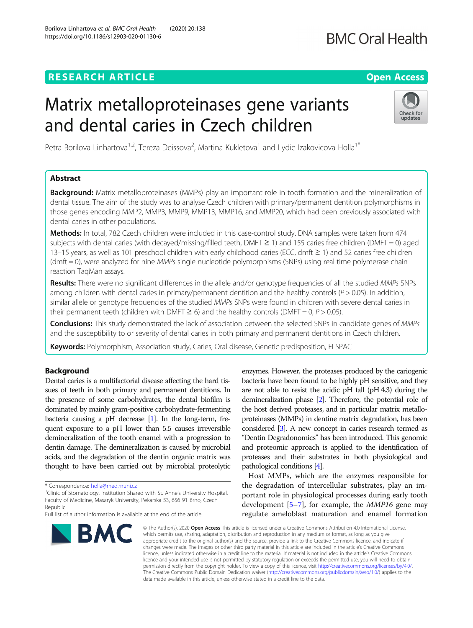# **RESEARCH ARTICLE Example 2014 12:30 The Contract of Contract ACCESS**

https://doi.org/10.1186/s12903-020-01130-6

# Matrix metalloproteinases gene variants and dental caries in Czech children

Petra Borilova Linhartova<sup>1,2</sup>, Tereza Deissova<sup>2</sup>, Martina Kukletova<sup>1</sup> and Lydie Izakovicova Holla<sup>1\*</sup>

# Abstract

**Background:** Matrix metalloproteinases (MMPs) play an important role in tooth formation and the mineralization of dental tissue. The aim of the study was to analyse Czech children with primary/permanent dentition polymorphisms in those genes encoding MMP2, MMP3, MMP9, MMP13, MMP16, and MMP20, which had been previously associated with dental caries in other populations.

Methods: In total, 782 Czech children were included in this case-control study. DNA samples were taken from 474 subjects with dental caries (with decayed/missing/filled teeth, DMFT ≥ 1) and 155 caries free children (DMFT = 0) aged 13–15 years, as well as 101 preschool children with early childhood caries (ECC, dmft ≥ 1) and 52 caries free children (dmft = 0), were analyzed for nine MMPs single nucleotide polymorphisms (SNPs) using real time polymerase chain reaction TaqMan assays.

Results: There were no significant differences in the allele and/or genotype frequencies of all the studied MMPs SNPs among children with dental caries in primary/permanent dentition and the healthy controls ( $P > 0.05$ ). In addition, similar allele or genotype frequencies of the studied MMPs SNPs were found in children with severe dental caries in their permanent teeth (children with DMFT  $\geq$  6) and the healthy controls (DMFT = 0, P > 0.05).

Conclusions: This study demonstrated the lack of association between the selected SNPs in candidate genes of MMPs and the susceptibility to or severity of dental caries in both primary and permanent dentitions in Czech children.

Keywords: Polymorphism, Association study, Caries, Oral disease, Genetic predisposition, ELSPAC

## Background

Dental caries is a multifactorial disease affecting the hard tissues of teeth in both primary and permanent dentitions. In the presence of some carbohydrates, the dental biofilm is dominated by mainly gram-positive carbohydrate-fermenting bacteria causing a pH decrease [\[1\]](#page-6-0). In the long-term, frequent exposure to a pH lower than 5.5 causes irreversible demineralization of the tooth enamel with a progression to dentin damage. The demineralization is caused by microbial acids, and the degradation of the dentin organic matrix was thought to have been carried out by microbial proteolytic

<sup>1</sup>Clinic of Stomatology, Institution Shared with St. Anne's University Hospital, Faculty of Medicine, Masaryk University, Pekarska 53, 656 91 Brno, Czech Republic

enzymes. However, the proteases produced by the cariogenic bacteria have been found to be highly pH sensitive, and they are not able to resist the acidic pH fall (pH 4.3) during the demineralization phase [\[2\]](#page-6-0). Therefore, the potential role of the host derived proteases, and in particular matrix metalloproteinases (MMPs) in dentine matrix degradation, has been considered [\[3\]](#page-6-0). A new concept in caries research termed as "Dentin Degradonomics" has been introduced. This genomic and proteomic approach is applied to the identification of proteases and their substrates in both physiological and pathological conditions [[4](#page-6-0)].

Host MMPs, which are the enzymes responsible for the degradation of intercellular substrates, play an important role in physiological processes during early tooth development  $[5–7]$  $[5–7]$  $[5–7]$  $[5–7]$ , for example, the *MMP16* gene may regulate ameloblast maturation and enamel formation

© The Author(s), 2020 **Open Access** This article is licensed under a Creative Commons Attribution 4.0 International License, which permits use, sharing, adaptation, distribution and reproduction in any medium or format, as long as you give appropriate credit to the original author(s) and the source, provide a link to the Creative Commons licence, and indicate if changes were made. The images or other third party material in this article are included in the article's Creative Commons licence, unless indicated otherwise in a credit line to the material. If material is not included in the article's Creative Commons licence and your intended use is not permitted by statutory regulation or exceeds the permitted use, you will need to obtain permission directly from the copyright holder. To view a copy of this licence, visit [http://creativecommons.org/licenses/by/4.0/.](http://creativecommons.org/licenses/by/4.0/) The Creative Commons Public Domain Dedication waiver [\(http://creativecommons.org/publicdomain/zero/1.0/](http://creativecommons.org/publicdomain/zero/1.0/)) applies to the data made available in this article, unless otherwise stated in a credit line to the data.

Borilova Linhartova et al. BMC Oral Health (2020) 20:138







<sup>\*</sup> Correspondence: [holla@med.muni.cz](mailto:holla@med.muni.cz) <sup>1</sup>

Full list of author information is available at the end of the article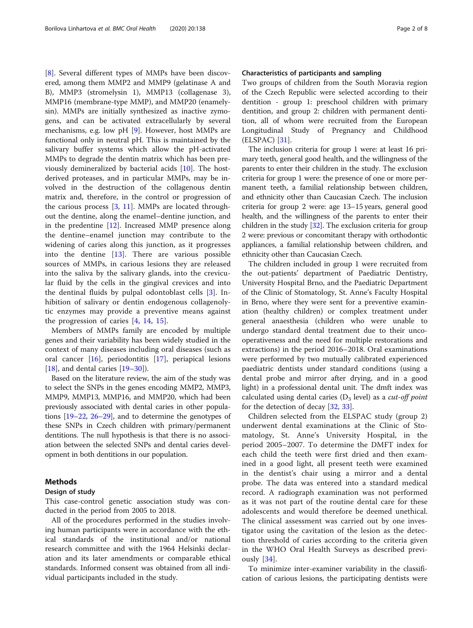[[8\]](#page-6-0). Several different types of MMPs have been discovered, among them MMP2 and MMP9 (gelatinase A and B), MMP3 (stromelysin 1), MMP13 (collagenase 3), MMP16 (membrane-type MMP), and MMP20 (enamelysin). MMPs are initially synthesized as inactive zymogens, and can be activated extracellularly by several mechanisms, e.g. low pH [[9\]](#page-6-0). However, host MMPs are functional only in neutral pH. This is maintained by the salivary buffer systems which allow the pH-activated MMPs to degrade the dentin matrix which has been previously demineralized by bacterial acids [\[10\]](#page-6-0). The hostderived proteases, and in particular MMPs, may be involved in the destruction of the collagenous dentin matrix and, therefore, in the control or progression of the carious process [[3,](#page-6-0) [11\]](#page-6-0). MMPs are located throughout the dentine, along the enamel–dentine junction, and in the predentine [[12](#page-6-0)]. Increased MMP presence along the dentine–enamel junction may contribute to the widening of caries along this junction, as it progresses into the dentine [[13\]](#page-6-0). There are various possible sources of MMPs, in carious lesions they are released into the saliva by the salivary glands, into the crevicular fluid by the cells in the gingival crevices and into the dentinal fluids by pulpal odontoblast cells [\[3](#page-6-0)]. Inhibition of salivary or dentin endogenous collagenolytic enzymes may provide a preventive means against the progression of caries [\[4](#page-6-0), [14](#page-6-0), [15](#page-6-0)].

Members of MMPs family are encoded by multiple genes and their variability has been widely studied in the context of many diseases including oral diseases (such as oral cancer [\[16](#page-6-0)], periodontitis [\[17](#page-6-0)], periapical lesions [[18\]](#page-6-0), and dental caries  $[19-30]$  $[19-30]$  $[19-30]$ .

Based on the literature review, the aim of the study was to select the SNPs in the genes encoding MMP2, MMP3, MMP9, MMP13, MMP16, and MMP20, which had been previously associated with dental caries in other populations [\[19](#page-6-0)–[22](#page-6-0), [26](#page-7-0)–[29](#page-7-0)], and to determine the genotypes of these SNPs in Czech children with primary/permanent dentitions. The null hypothesis is that there is no association between the selected SNPs and dental caries development in both dentitions in our population.

### Methods

#### Design of study

This case-control genetic association study was conducted in the period from 2005 to 2018.

All of the procedures performed in the studies involving human participants were in accordance with the ethical standards of the institutional and/or national research committee and with the 1964 Helsinki declaration and its later amendments or comparable ethical standards. Informed consent was obtained from all individual participants included in the study.

#### Characteristics of participants and sampling

Two groups of children from the South Moravia region of the Czech Republic were selected according to their dentition - group 1: preschool children with primary dentition, and group 2: children with permanent dentition, all of whom were recruited from the European Longitudinal Study of Pregnancy and Childhood (ELSPAC) [\[31](#page-7-0)].

The inclusion criteria for group 1 were: at least 16 primary teeth, general good health, and the willingness of the parents to enter their children in the study. The exclusion criteria for group 1 were: the presence of one or more permanent teeth, a familial relationship between children, and ethnicity other than Caucasian Czech. The inclusion criteria for group 2 were: age 13–15 years, general good health, and the willingness of the parents to enter their children in the study [\[32](#page-7-0)]. The exclusion criteria for group 2 were: previous or concomitant therapy with orthodontic appliances, a familial relationship between children, and ethnicity other than Caucasian Czech.

The children included in group 1 were recruited from the out-patients' department of Paediatric Dentistry, University Hospital Brno, and the Paediatric Department of the Clinic of Stomatology, St. Anne's Faculty Hospital in Brno, where they were sent for a preventive examination (healthy children) or complex treatment under general anaesthesia (children who were unable to undergo standard dental treatment due to their uncooperativeness and the need for multiple restorations and extractions) in the period 2016–2018. Oral examinations were performed by two mutually calibrated experienced paediatric dentists under standard conditions (using a dental probe and mirror after drying, and in a good light) in a professional dental unit. The dmft index was calculated using dental caries  $(D_3 \text{ level})$  as a *cut-off point* for the detection of decay [[32,](#page-7-0) [33](#page-7-0)].

Children selected from the ELSPAC study (group 2) underwent dental examinations at the Clinic of Stomatology, St. Anne's University Hospital, in the period 2005–2007. To determine the DMFT index for each child the teeth were first dried and then examined in a good light, all present teeth were examined in the dentist's chair using a mirror and a dental probe. The data was entered into a standard medical record. A radiograph examination was not performed as it was not part of the routine dental care for these adolescents and would therefore be deemed unethical. The clinical assessment was carried out by one investigator using the cavitation of the lesion as the detection threshold of caries according to the criteria given in the WHO Oral Health Surveys as described previously [[34\]](#page-7-0).

To minimize inter-examiner variability in the classification of carious lesions, the participating dentists were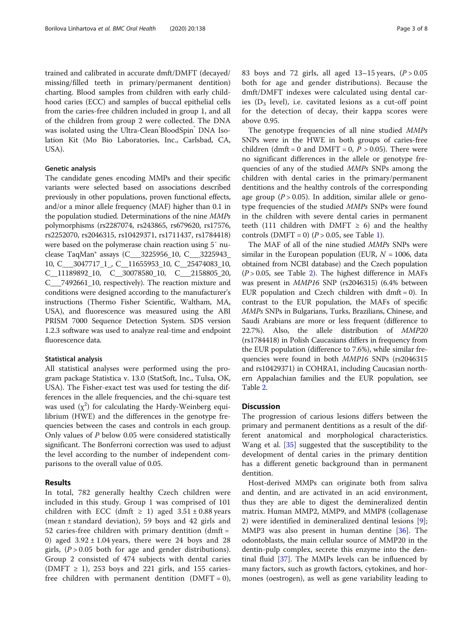trained and calibrated in accurate dmft/DMFT (decayed/ missing/filled teeth in primary/permanent dentition) charting. Blood samples from children with early childhood caries (ECC) and samples of buccal epithelial cells from the caries-free children included in group 1, and all of the children from group 2 were collected. The DNA was isolated using the Ultra-Clean BloodSpin<sup>®</sup> DNA Isolation Kit (Mo Bio Laboratories, Inc., Carlsbad, CA, USA).

#### Genetic analysis

The candidate genes encoding MMPs and their specific variants were selected based on associations described previously in other populations, proven functional effects, and/or a minor allele frequency (MAF) higher than 0.1 in the population studied. Determinations of the nine MMPs polymorphisms (rs2287074, rs243865, rs679620, rs17576, rs2252070, rs2046315, rs10429371, rs1711437, rs1784418) were based on the polymerase chain reaction using 5′ nuclease TaqMan® assays (C\_\_\_3225956\_10, C\_\_\_3225943\_ 10, C\_\_\_3047717\_1\_, C\_\_11655953\_10, C\_\_25474083\_10, C\_\_11189892\_10, C\_\_30078580\_10, C\_\_\_2158805\_20, C\_\_\_7492661\_10, respectively). The reaction mixture and conditions were designed according to the manufacturer's instructions (Thermo Fisher Scientific, Waltham, MA, USA), and fluorescence was measured using the ABI PRISM 7000 Sequence Detection System. SDS version 1.2.3 software was used to analyze real-time and endpoint fluorescence data.

#### Statistical analysis

All statistical analyses were performed using the program package Statistica v. 13.0 (StatSoft, Inc., Tulsa, OK, USA). The Fisher-exact test was used for testing the differences in the allele frequencies, and the chi-square test was used  $(\chi^2)$  for calculating the Hardy-Weinberg equilibrium (HWE) and the differences in the genotype frequencies between the cases and controls in each group. Only values of P below 0.05 were considered statistically significant. The Bonferroni correction was used to adjust the level according to the number of independent comparisons to the overall value of 0.05.

#### Results

In total, 782 generally healthy Czech children were included in this study. Group 1 was comprised of 101 children with ECC (dmft  $\geq$  1) aged 3.51  $\pm$  0.88 years (mean ± standard deviation), 59 boys and 42 girls and 52 caries-free children with primary dentition (dmft = 0) aged  $3.92 \pm 1.04$  years, there were 24 boys and 28 girls,  $(P > 0.05$  both for age and gender distributions). Group 2 consisted of 474 subjects with dental caries (DMFT  $\geq$  1), 253 boys and 221 girls, and 155 cariesfree children with permanent dentition  $(DMFT = 0)$ , 83 boys and 72 girls, all aged  $13-15$  years,  $(P > 0.05$ both for age and gender distributions). Because the dmft/DMFT indexes were calculated using dental caries  $(D_3 \text{ level})$ , i.e. cavitated lesions as a cut-off point for the detection of decay, their kappa scores were above 0.95.

The genotype frequencies of all nine studied MMPs SNPs were in the HWE in both groups of caries-free children (dmft = 0 and DMFT = 0,  $P > 0.05$ ). There were no significant differences in the allele or genotype frequencies of any of the studied MMPs SNPs among the children with dental caries in the primary/permanent dentitions and the healthy controls of the corresponding age group ( $P > 0.05$ ). In addition, similar allele or genotype frequencies of the studied MMPs SNPs were found in the children with severe dental caries in permanent teeth (111 children with DMFT  $\geq$  6) and the healthy controls (DMFT = 0)  $(P > 0.05$ , see Table [1\)](#page-3-0).

The MAF of all of the nine studied MMPs SNPs were similar in the European population (EUR,  $N = 1006$ , data obtained from NCBI database) and the Czech population  $(P > 0.05$ , see Table [2](#page-4-0)). The highest difference in MAFs was present in MMP16 SNP (rs2046315) (6.4% between EUR population and Czech children with  $dmft = 0$ . In contrast to the EUR population, the MAFs of specific MMPs SNPs in Bulgarians, Turks, Brazilians, Chinese, and Saudi Arabians are more or less frequent (difference to 22.7%). Also, the allele distribution of MMP20 (rs1784418) in Polish Caucasians differs in frequency from the EUR population (difference to 7.6%), while similar frequencies were found in both MMP16 SNPs (rs2046315 and rs10429371) in COHRA1, including Caucasian northern Appalachian families and the EUR population, see Table [2.](#page-4-0)

#### **Discussion**

The progression of carious lesions differs between the primary and permanent dentitions as a result of the different anatomical and morphological characteristics. Wang et al. [\[35](#page-7-0)] suggested that the susceptibility to the development of dental caries in the primary dentition has a different genetic background than in permanent dentition.

Host-derived MMPs can originate both from saliva and dentin, and are activated in an acid environment, thus they are able to digest the demineralized dentin matrix. Human MMP2, MMP9, and MMP8 (collagenase 2) were identified in demineralized dentinal lesions [\[9](#page-6-0)]; MMP3 was also present in human dentine [[36\]](#page-7-0). The odontoblasts, the main cellular source of MMP20 in the dentin-pulp complex, secrete this enzyme into the dentinal fluid [[37\]](#page-7-0). The MMPs levels can be influenced by many factors, such as growth factors, cytokines, and hormones (oestrogen), as well as gene variability leading to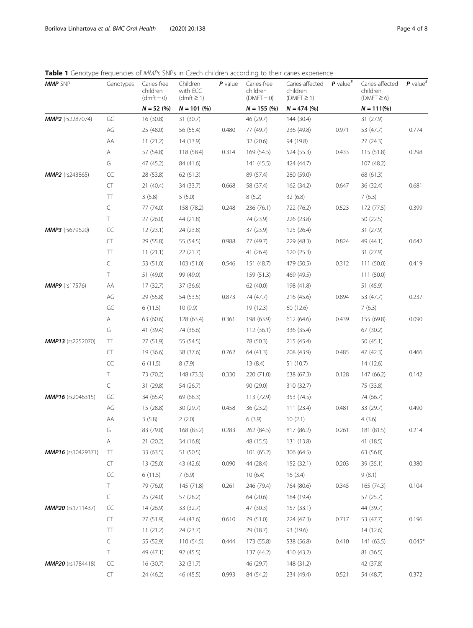<span id="page-3-0"></span>Table 1 Genotype frequencies of MMPs SNPs in Czech children according to their caries experience

| <b>MMP SNP</b>            | Genotypes   | Caries-free<br>children<br>$(dmft = 0)$ | Children<br>with ECC<br>(dmft $\geq$ 1) | $P$ value | Caries-free<br>children<br>$(DMFT = 0)$ | Caries-affected<br>children<br>$(DMFT \geq 1)$ | $P$ value" | Caries-affected<br>children<br>(DMFT $\geq$ 6) | $P$ value <sup>#</sup> |
|---------------------------|-------------|-----------------------------------------|-----------------------------------------|-----------|-----------------------------------------|------------------------------------------------|------------|------------------------------------------------|------------------------|
|                           |             | $N = 52$ (%)                            | $N = 101 (%)$                           |           | $N = 155$ (%)                           | $N = 474$ (%)                                  |            | $N = 111\%$                                    |                        |
| <b>MMP2</b> (rs2287074)   | GG          | 16(30.8)                                | 31 (30.7)                               |           | 46 (29.7)                               | 144 (30.4)                                     |            | 31 (27.9)                                      |                        |
|                           | AG          | 25 (48.0)                               | 56 (55.4)                               | 0.480     | 77 (49.7)                               | 236 (49.8)                                     | 0.971      | 53 (47.7)                                      | 0.774                  |
|                           | ΑA          | 11(21.2)                                | 14 (13.9)                               |           | 32 (20.6)                               | 94 (19.8)                                      |            | 27 (24.3)                                      |                        |
|                           | A           | 57 (54.8)                               | 118 (58.4)                              | 0.314     | 169 (54.5)                              | 524 (55.3)                                     | 0.433      | 115(51.8)                                      | 0.298                  |
|                           | G           | 47 (45.2)                               | 84 (41.6)                               |           | 141 (45.5)                              | 424 (44.7)                                     |            | 107 (48.2)                                     |                        |
| <b>MMP2</b> (rs243865)    | CC          | 28 (53.8)                               | 62(61.3)                                |           | 89 (57.4)                               | 280 (59.0)                                     |            | 68 (61.3)                                      |                        |
|                           | CT          | 21(40.4)                                | 34 (33.7)                               | 0.668     | 58 (37.4)                               | 162 (34.2)                                     | 0.647      | 36 (32.4)                                      | 0.681                  |
|                           | TΤ          | 3(5.8)                                  | 5(5.0)                                  |           | 8(5.2)                                  | 32(6.8)                                        |            | 7(6.3)                                         |                        |
|                           | $\subset$   | 77 (74.0)                               | 158 (78.2)                              | 0.248     | 236 (76.1)                              | 722 (76.2)                                     | 0.523      | 172 (77.5)                                     | 0.399                  |
|                           | T.          | 27(26.0)                                | 44 (21.8)                               |           | 74 (23.9)                               | 226 (23.8)                                     |            | 50 (22.5)                                      |                        |
| <b>MMP3</b> (rs679620)    | CC          | 12(23.1)                                | 24 (23.8)                               |           | 37 (23.9)                               | 125 (26.4)                                     |            | 31 (27.9)                                      |                        |
|                           | CT          | 29 (55.8)                               | 55 (54.5)                               | 0.988     | 77 (49.7)                               | 229 (48.3)                                     | 0.824      | 49 (44.1)                                      | 0.642                  |
|                           | TΤ          | 11(21.1)                                | 22(21.7)                                |           | 41 (26.4)                               | 120(25.3)                                      |            | 31 (27.9)                                      |                        |
|                           | C           | 53 (51.0)                               | 103(51.0)                               | 0.546     | 151 (48.7)                              | 479 (50.5)                                     | 0.312      | 111(50.0)                                      | 0.419                  |
|                           | Τ           | 51 (49.0)                               | 99 (49.0)                               |           | 159 (51.3)                              | 469 (49.5)                                     |            | 111(50.0)                                      |                        |
| <b>MMP9</b> (rs17576)     | ΑA          | 17(32.7)                                | 37 (36.6)                               |           | 62 (40.0)                               | 198 (41.8)                                     |            | 51 (45.9)                                      |                        |
|                           | AG          | 29 (55.8)                               | 54 (53.5)                               | 0.873     | 74 (47.7)                               | 216 (45.6)                                     | 0.894      | 53 (47.7)                                      | 0.237                  |
|                           | GG          | 6(11.5)                                 | 10(9.9)                                 |           | 19 (12.3)                               | 60 (12.6)                                      |            | 7(6.3)                                         |                        |
|                           | A           | 63 (60.6)                               | 128 (63.4)                              | 0.361     | 198 (63.9)                              | 612 (64.6)                                     | 0.439      | 155 (69.8)                                     | 0.090                  |
|                           | G           | 41 (39.4)                               | 74 (36.6)                               |           | 112(36.1)                               | 336 (35.4)                                     |            | 67 (30.2)                                      |                        |
| <b>MMP13</b> (rs2252070)  | TΤ          | 27 (51.9)                               | 55 (54.5)                               |           | 78 (50.3)                               | 215 (45.4)                                     |            | 50 (45.1)                                      |                        |
|                           | CT          | 19 (36.6)                               | 38 (37.6)                               | 0.762     | 64 (41.3)                               | 208 (43.9)                                     | 0.485      | 47 (42.3)                                      | 0.466                  |
|                           | CC          | 6(11.5)                                 | 8(7.9)                                  |           | 13 (8.4)                                | 51 (10.7)                                      |            | 14 (12.6)                                      |                        |
|                           | Τ           | 73 (70.2)                               | 148 (73.3)                              | 0.330     | 220 (71.0)                              | 638 (67.3)                                     | 0.128      | 147 (66.2)                                     | 0.142                  |
|                           | $\subset$   | 31 (29.8)                               | 54 (26.7)                               |           | 90 (29.0)                               | 310 (32.7)                                     |            | 75 (33.8)                                      |                        |
| <b>MMP16</b> (rs2046315)  | GG          | 34 (65.4)                               | 69 (68.3)                               |           | 113 (72.9)                              | 353 (74.5)                                     |            | 74 (66.7)                                      |                        |
|                           | AG          | 15(28.8)                                | 30 (29.7)                               | 0.458     | 36 (23.2)                               | 111(23.4)                                      | 0.481      | 33 (29.7)                                      | 0.490                  |
|                           | ΑA          | 3(5.8)                                  | 2(2.0)                                  |           | 6(3.9)                                  | 10(2.1)                                        |            | 4(3.6)                                         |                        |
|                           | G           | 83 (79.8)                               | 168 (83.2)                              | 0.283     | 262 (84.5)                              | 817 (86.2)                                     | 0.261      | 181 (81.5)                                     | 0.214                  |
|                           | Α           | 21 (20.2)                               | 34 (16.8)                               |           | 48 (15.5)                               | 131 (13.8)                                     |            | 41 (18.5)                                      |                        |
| <b>MMP16</b> (rs10429371) | Π           | 33 (63.5)                               | 51 (50.5)                               |           | 101(65.2)                               | 306 (64.5)                                     |            | 63 (56.8)                                      |                        |
|                           | CT          | 13 (25.0)                               | 43 (42.6)                               | 0.090     | 44 (28.4)                               | 152 (32.1)                                     | 0.203      | 39 (35.1)                                      | 0.380                  |
|                           | CC          | 6(11.5)                                 | 7(6.9)                                  |           | 10(6.4)                                 | 16(3.4)                                        |            | 9(8.1)                                         |                        |
|                           | T           | 79 (76.0)                               | 145 (71.8)                              | 0.261     | 246 (79.4)                              | 764 (80.6)                                     | 0.345      | 165 (74.3)                                     | 0.104                  |
|                           | $\mathsf C$ | 25(24.0)                                | 57 (28.2)                               |           | 64 (20.6)                               | 184 (19.4)                                     |            | 57 (25.7)                                      |                        |
| <b>MMP20</b> (rs1711437)  | CC          | 14 (26.9)                               | 33 (32.7)                               |           | 47 (30.3)                               | 157 (33.1)                                     |            | 44 (39.7)                                      |                        |
|                           | CT          | 27 (51.9)                               | 44 (43.6)                               | 0.610     | 79 (51.0)                               | 224 (47.3)                                     | 0.717      | 53 (47.7)                                      | 0.196                  |
|                           | T           | 11(21.2)                                | 24 (23.7)                               |           | 29 (18.7)                               | 93 (19.6)                                      |            | 14 (12.6)                                      |                        |
|                           | $\subset$   | 55 (52.9)                               | 110 (54.5)                              | 0.444     | 173 (55.8)                              | 538 (56.8)                                     | 0.410      | 141 (63.5)                                     | $0.045*$               |
|                           | $\top$      | 49 (47.1)                               | 92 (45.5)                               |           | 137 (44.2)                              | 410 (43.2)                                     |            | 81 (36.5)                                      |                        |
| <b>MMP20</b> (rs1784418)  | CC          | 16(30.7)                                | 32 (31.7)                               |           | 46 (29.7)                               | 148 (31.2)                                     |            | 42 (37.8)                                      |                        |
|                           | CT          | 24 (46.2)                               | 46 (45.5)                               | 0.993     | 84 (54.2)                               | 234 (49.4)                                     | 0.521      | 54 (48.7)                                      | 0.372                  |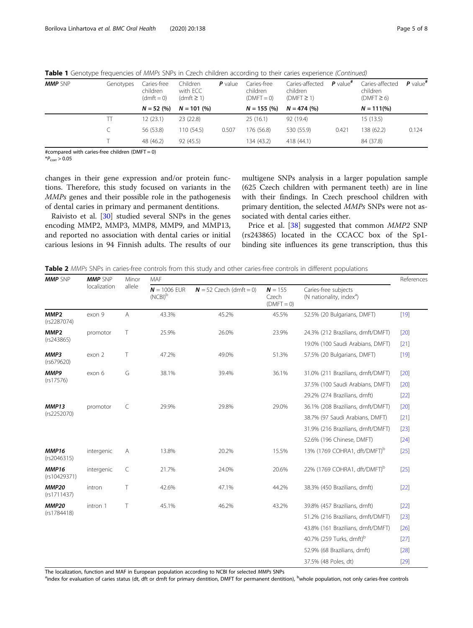| <b>MMP SNP</b> | Genotypes | Caries-free<br>children<br>$(dmft = 0)$ | Children<br>with ECC<br>(dmft $\geq$ 1) | $P$ value | Caries-free<br>children<br>$(DMFT = 0)$ | Caries-affected<br>children<br>$(DMFT \geq 1)$ | $P$ value <sup>#</sup> | Caries-affected<br>children<br>$(DMFT \geq 6)$ | <b>P</b> value <sup>#</sup> |
|----------------|-----------|-----------------------------------------|-----------------------------------------|-----------|-----------------------------------------|------------------------------------------------|------------------------|------------------------------------------------|-----------------------------|
|                |           | $N = 52(96)$                            | $N = 101 (%)$                           |           | $N = 155(%)$                            | $N = 474(%)$                                   |                        | $N = 111\frac{9}{6}$                           |                             |
|                |           | 12(23.1)                                | 23 (22.8)                               |           | 25(16.1)                                | 92 (19.4)                                      |                        | 15(13.5)                                       |                             |
|                |           | 56 (53.8)                               | 110 (54.5)                              | 0.507     | 176 (56.8)                              | 530 (55.9)                                     | 0.421                  | 138 (62.2)                                     | 0.124                       |
|                |           | 48 (46.2)                               | 92 (45.5)                               |           | 134 (43.2)                              | 418 (44.1)                                     |                        | 84 (37.8)                                      |                             |

<span id="page-4-0"></span>Table 1 Genotype frequencies of MMPs SNPs in Czech children according to their caries experience (Continued)

#compared with caries-free children (DMFT = 0)

 $*P_{corr} > 0.05$ 

changes in their gene expression and/or protein functions. Therefore, this study focused on variants in the MMPs genes and their possible role in the pathogenesis of dental caries in primary and permanent dentitions.

Raivisto et al. [\[30](#page-7-0)] studied several SNPs in the genes encoding MMP2, MMP3, MMP8, MMP9, and MMP13, and reported no association with dental caries or initial carious lesions in 94 Finnish adults. The results of our multigene SNPs analysis in a larger population sample (625 Czech children with permanent teeth) are in line with their findings. In Czech preschool children with primary dentition, the selected MMPs SNPs were not associated with dental caries either.

Price et al. [[38\]](#page-7-0) suggested that common *MMP2* SNP (rs243865) located in the CCACC box of the Sp1 binding site influences its gene transcription, thus this

Table 2 MMPs SNPs in caries-free controls from this study and other caries-free controls in different populations

| <b>MMP SNP</b>                  | <b>MMP SNP</b><br>localization | Minor<br>allele | MAF                          |                           |                                    |                                                              |        |  |  |
|---------------------------------|--------------------------------|-----------------|------------------------------|---------------------------|------------------------------------|--------------------------------------------------------------|--------|--|--|
|                                 |                                |                 | $N = 1006$ EUR<br>$(NCBI)^b$ | $N = 52$ Czech (dmft = 0) | $N = 155$<br>Czech<br>$(DMFT = 0)$ | Caries-free subjects<br>(N nationality, index <sup>a</sup> ) |        |  |  |
| MMP <sub>2</sub><br>(rs2287074) | exon 9                         | A               | 43.3%                        | 45.2%                     | 45.5%                              | 52.5% (20 Bulgarians, DMFT)                                  | $[19]$ |  |  |
| MMP <sub>2</sub><br>(rs243865)  | promotor                       | Τ               | 25.9%                        | 26.0%                     | 23.9%                              | 24.3% (212 Brazilians, dmft/DMFT)                            | $[20]$ |  |  |
|                                 |                                |                 |                              |                           |                                    | 19.0% (100 Saudi Arabians, DMFT)                             | $[21]$ |  |  |
| MMP3<br>(rs679620)              | exon 2                         | Τ               | 47.2%                        | 49.0%                     | 51.3%                              | 57.5% (20 Bulgarians, DMFT)                                  | $[19]$ |  |  |
| MMP9<br>(rs17576)               | exon 6                         | G               | 38.1%                        | 39.4%                     | 36.1%                              | 31.0% (211 Brazilians, dmft/DMFT)                            | $[20]$ |  |  |
|                                 |                                |                 |                              |                           |                                    | 37.5% (100 Saudi Arabians, DMFT)                             | [20]   |  |  |
|                                 |                                |                 |                              |                           |                                    | 29.2% (274 Brazilians, dmft)                                 | $[22]$ |  |  |
| MMP13<br>(rs2252070)            | promotor                       | C               | 29.9%                        | 29.8%                     | 29.0%                              | 36.1% (208 Brazilians, dmft/DMFT)                            | $[20]$ |  |  |
|                                 |                                |                 |                              |                           |                                    | 38.7% (97 Saudi Arabians, DMFT)                              | $[21]$ |  |  |
|                                 |                                |                 |                              |                           |                                    | 31.9% (216 Brazilians, dmft/DMFT)                            | $[23]$ |  |  |
|                                 |                                |                 |                              |                           |                                    | 52.6% (196 Chinese, DMFT)                                    | $[24]$ |  |  |
| MMP16<br>(rs2046315)            | intergenic                     | Α               | 13.8%                        | 20.2%                     | 15.5%                              | 13% (1769 COHRA1, dft/DMFT) <sup>b</sup>                     | $[25]$ |  |  |
| MMP16<br>(rs10429371)           | intergenic                     | C               | 21.7%                        | 24.0%                     | 20.6%                              | 22% (1769 COHRA1, dft/DMFT) <sup>b</sup>                     | $[25]$ |  |  |
| MMP20<br>(rs1711437)            | intron                         | Τ               | 42.6%                        | 47.1%                     | 44.2%                              | 38.3% (450 Brazilians, dmft)                                 | $[22]$ |  |  |
| MMP <sub>20</sub>               | intron 1                       | Τ               | 45.1%                        | 46.2%                     | 43.2%                              | 39.8% (457 Brazilians, dmft)                                 | $[22]$ |  |  |
| (rs1784418)                     |                                |                 |                              |                           |                                    | 51.2% (216 Brazilians, dmft/DMFT)                            | $[23]$ |  |  |
|                                 |                                |                 |                              |                           |                                    | 43.8% (161 Brazilians, dmft/DMFT)                            | $[26]$ |  |  |
|                                 |                                |                 |                              |                           |                                    | 40.7% (259 Turks, dmft) <sup>b</sup>                         | $[27]$ |  |  |
|                                 |                                |                 |                              |                           |                                    | 52.9% (68 Brazilians, dmft)                                  | $[28]$ |  |  |
|                                 |                                |                 |                              |                           |                                    | 37.5% (48 Poles, dt)                                         | $[29]$ |  |  |

The localization, function and MAF in European population according to NCBI for selected MMPs SNPs

index for evaluation of caries status (dt, dft or dmft for primary dentition, DMFT for permanent dentition), <sup>b</sup>whole population, not only caries-free controls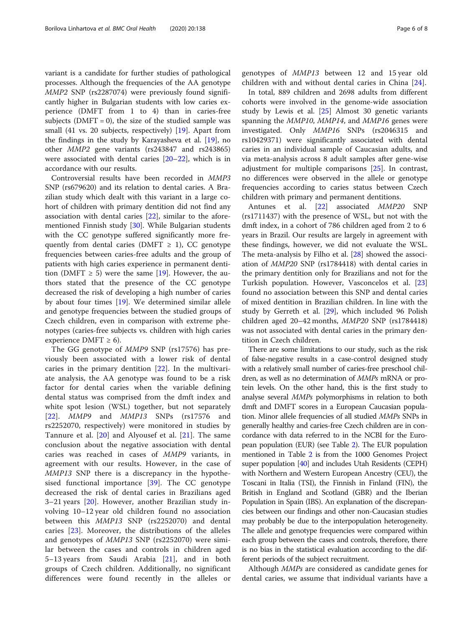variant is a candidate for further studies of pathological processes. Although the frequencies of the AA genotype MMP2 SNP (rs2287074) were previously found significantly higher in Bulgarian students with low caries experience (DMFT from 1 to 4) than in caries-free subjects ( $DMFT = 0$ ), the size of the studied sample was small (41 vs. 20 subjects, respectively) [\[19\]](#page-6-0). Apart from the findings in the study by Karayasheva et al. [[19\]](#page-6-0), no other MMP2 gene variants (rs243847 and rs243865) were associated with dental caries [\[20](#page-6-0)–[22\]](#page-6-0), which is in accordance with our results.

Controversial results have been recorded in MMP3 SNP (rs679620) and its relation to dental caries. A Brazilian study which dealt with this variant in a large cohort of children with primary dentition did not find any association with dental caries [[22](#page-6-0)], similar to the aforementioned Finnish study [[30](#page-7-0)]. While Bulgarian students with the CC genotype suffered significantly more frequently from dental caries (DMFT  $\geq$  1), CC genotype frequencies between caries-free adults and the group of patients with high caries experience in permanent dentition (DMFT  $\geq$  5) were the same [[19](#page-6-0)]. However, the authors stated that the presence of the CC genotype decreased the risk of developing a high number of caries by about four times [[19\]](#page-6-0). We determined similar allele and genotype frequencies between the studied groups of Czech children, even in comparison with extreme phenotypes (caries-free subjects vs. children with high caries experience DMFT  $\geq 6$ ).

The GG genotype of MMP9 SNP (rs17576) has previously been associated with a lower risk of dental caries in the primary dentition  $[22]$  $[22]$ . In the multivariate analysis, the AA genotype was found to be a risk factor for dental caries when the variable defining dental status was comprised from the dmft index and white spot lesion (WSL) together, but not separately [[22\]](#page-6-0). MMP9 and MMP13 SNPs (rs17576 and rs2252070, respectively) were monitored in studies by Tannure et al. [[20\]](#page-6-0) and Alyousef et al. [[21\]](#page-6-0). The same conclusion about the negative association with dental caries was reached in cases of MMP9 variants, in agreement with our results. However, in the case of MMP13 SNP there is a discrepancy in the hypothesised functional importance [[39\]](#page-7-0). The CC genotype decreased the risk of dental caries in Brazilians aged 3–21 years [[20\]](#page-6-0). However, another Brazilian study involving 10–12 year old children found no association between this MMP13 SNP (rs2252070) and dental caries [[23\]](#page-7-0). Moreover, the distributions of the alleles and genotypes of MMP13 SNP (rs2252070) were similar between the cases and controls in children aged 5–13 years from Saudi Arabia [[21\]](#page-6-0), and in both groups of Czech children. Additionally, no significant differences were found recently in the alleles or genotypes of MMP13 between 12 and 15 year old children with and without dental caries in China [[24\]](#page-7-0).

In total, 889 children and 2698 adults from different cohorts were involved in the genome-wide association study by Lewis et al. [[25](#page-7-0)] Almost 30 genetic variants spanning the MMP10, MMP14, and MMP16 genes were investigated. Only MMP16 SNPs (rs2046315 and rs10429371) were significantly associated with dental caries in an individual sample of Caucasian adults, and via meta-analysis across 8 adult samples after gene-wise adjustment for multiple comparisons [[25\]](#page-7-0). In contrast, no differences were observed in the allele or genotype frequencies according to caries status between Czech children with primary and permanent dentitions.

Antunes et al. [\[22\]](#page-6-0) associated MMP20 SNP (rs1711437) with the presence of WSL, but not with the dmft index, in a cohort of 786 children aged from 2 to 6 years in Brazil. Our results are largely in agreement with these findings, however, we did not evaluate the WSL. The meta-analysis by Filho et al. [[28\]](#page-7-0) showed the association of MMP20 SNP (rs1784418) with dental caries in the primary dentition only for Brazilians and not for the Turkish population. However, Vasconcelos et al. [[23](#page-7-0)] found no association between this SNP and dental caries of mixed dentition in Brazilian children. In line with the study by Gerreth et al. [[29\]](#page-7-0), which included 96 Polish children aged 20–42 months, MMP20 SNP (rs1784418) was not associated with dental caries in the primary dentition in Czech children.

There are some limitations to our study, such as the risk of false-negative results in a case-control designed study with a relatively small number of caries-free preschool children, as well as no determination of MMPs mRNA or protein levels. On the other hand, this is the first study to analyse several MMPs polymorphisms in relation to both dmft and DMFT scores in a European Caucasian population. Minor allele frequencies of all studied MMPs SNPs in generally healthy and caries-free Czech children are in concordance with data referred to in the NCBI for the European population (EUR) (see Table [2\)](#page-4-0). The EUR population mentioned in Table [2](#page-4-0) is from the 1000 Genomes Project super population [\[40\]](#page-7-0) and includes Utah Residents (CEPH) with Northern and Western European Ancestry (CEU), the Toscani in Italia (TSI), the Finnish in Finland (FIN), the British in England and Scotland (GBR) and the Iberian Population in Spain (IBS). An explanation of the discrepancies between our findings and other non-Caucasian studies may probably be due to the interpopulation heterogeneity. The allele and genotype frequencies were compared within each group between the cases and controls, therefore, there is no bias in the statistical evaluation according to the different periods of the subject recruitment.

Although MMPs are considered as candidate genes for dental caries, we assume that individual variants have a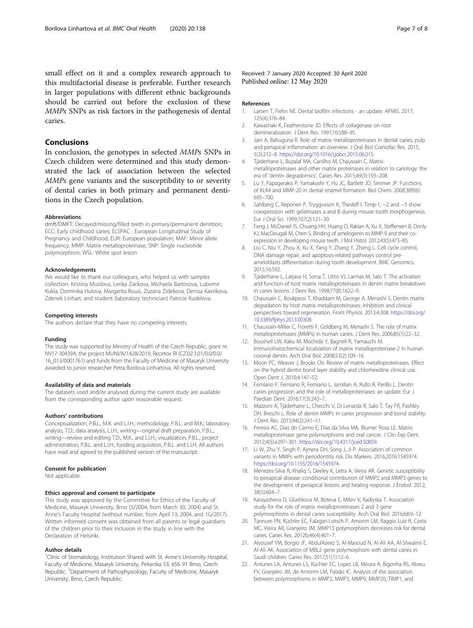<span id="page-6-0"></span>small effect on it and a complex research approach to this multifactorial disease is preferable. Further research in larger populations with different ethnic backgrounds should be carried out before the exclusion of these MMPs SNPs as risk factors in the pathogenesis of dental caries.

# Conclusions

In conclusion, the genotypes in selected MMPs SNPs in Czech children were determined and this study demonstrated the lack of association between the selected MMPs gene variants and the susceptibility to or severity of dental caries in both primary and permanent dentitions in the Czech population.

#### Abbreviations

dmft/DMFT: Decayed/missing/filled teeth in primary/permanent dentition; ECC: Early childhood caries; ELSPAC : European Longitudinal Study of Pregnancy and Childhood; EUR: European population; MAF: Minor allele frequency; MMP: Matrix metalloproteinase; SNP: Single nucleotide polymorphism; WSL: White spot lesion

#### Acknowledgements

We would like to thank our colleagues, who helped us with samples collection: Kristina Musilova, Lenka Zackova, Michaela Bartosova, Lubomir Kukla, Dominika Hulova, Margarita Rousi, Zuzana Zidekova, Denisa Kavrikova, Zdenek Linhart, and student (laboratory technician) Patricie Kudelova.

#### Competing interests

The authors declare that they have no competing interests.

#### Funding

The study was supported by Ministry of Health of the Czech Republic, grant nr. NV17-30439A, the project MUNI/A/1428/2019, Recetox RI (CZ.02.1.01/0.0/0.0/ 16\_013/0001761) and funds from the Faculty of Medicine of Masaryk University awarded to junior researcher Petra Borilova Linhartova. All rights reserved.

#### Availability of data and materials

The datasets used and/or analysed during the current study are available from the corresponding author upon reasonable request.

#### Authors' contributions

Conceptualization, P.B.L., M.K. and L.I.H.; methodology, P.B.L. and M.K.; laboratory analysis, T.D.; data analysis, L.I.H.; writing—original draft preparation, P.B.L.; writing—review and editing T.D., M.K., and L.I.H.; visualization, P.B.L.; project administration, P.B.L. and L.I.H.; funding acquisition, P.B.L. and L.I.H. All authors have read and agreed to the published version of the manuscript.

#### Consent for publication

Not applicable.

#### Ethics approval and consent to participate

This study was approved by the Committee for Ethics of the Faculty of Medicine, Masaryk University, Brno (3/2004, from March 30, 2004) and St. Anne's Faculty Hospital (without number, from April 13, 2004, and 1G/2017). Written informed consent was obtained from all parents or legal guardians of the children prior to their inclusion in the study in line with the Declaration of Helsinki.

#### Author details

<sup>1</sup>Clinic of Stomatology, Institution Shared with St. Anne's University Hospital, Faculty of Medicine, Masaryk University, Pekarska 53, 656 91 Brno, Czech Republic. <sup>2</sup>Department of Pathophysiology, Faculty of Medicine, Masaryk University, Brno, Czech Republic.

Received: 7 January 2020 Accepted: 30 April 2020 Published online: 12 May 2020

#### References

- 1. Larsen T, Fiehn NE. Dental biofilm infections an update. APMIS. 2017; 125(4):376–84.
- 2. Kawashaki K, Featherstone JD. Effects of collagenase on root demineralization. J Dent Res. 1997;76:588–95.
- 3. Jain A, Bahuguna R. Role of matrix metalloproteinases in dental caries, pulp and periapical inflammation: an overview. J Oral Biol Craniofac Res. 2015; 5(3):212–8. <https://doi.org/10.1016/j.jobcr.2015.06.015>.
- 4. Tjäderhane L, Buzalaf MA, Carrilho M, Chaussain C. Matrix metalloproteinases and other matrix proteinases in relation to cariology: the era of 'dentin degradomics'. Caries Res. 2015;49(3):193–208.
- 5. Lu Y, Papagerakis P, Yamakoshi Y, Hu JC, Bartlett JD, Simmer JP. Functions of KLK4 and MMP-20 in dental enamel formation. Biol Chem. 2008;389(6): 695–700.
- 6. Sahlberg C, Reponen P, Tryggvason K, Thesleff I. Timp-1, −2 and −3 show coexpression with gelatinases a and B during mouse tooth morphogenesis. Eur J Oral Sci. 1999;107(2):121–30.
- 7. Feng J, McDaniel JS, Chuang HH, Huang O, Rakian A, Xu X, Steffensen B, Donly KJ, MacDougall M, Chen S. Binding of amelogenin to MMP-9 and their coexpression in developing mouse teeth. J Mol Histol. 2012;43(5):473–85.
- 8. Liu C, Niu Y, Zhou X, Xu X, Yang Y, Zhang Y, Zheng L. Cell cycle control, DNA damage repair, and apoptosis-related pathways control preameloblasts differentiation during tooth development. BMC Genomics. 2015;16:592.
- 9. Tjäderhane L, Larjava H, Sorsa T, Uitto VJ, Larmas M, Salo T. The activation and function of host matrix metalloproteinases in dentin matrix breakdown in caries lesions. J Dent Res. 1998;77(8):1622–9.
- 10. Chaussain C, Boukpessi T, Khaddam M, George A, Menashi S. Dentin matrix degradation by host matrix metalloproteinases: inhibition and clinical perspectives toward regeneration. Front Physiol. 2013;4:308. [https://doi.org/](https://doi.org/10.3389/fphys.2013.00308) [10.3389/fphys.2013.00308](https://doi.org/10.3389/fphys.2013.00308).
- 11. Chaussain-Miller C, Fioretti F, Goldberg M, Menashi S. The role of matrix metalloproteinases (MMPs) in human caries. J Dent Res. 2006;85(1):22–32.
- 12. Boushell LW, Kaku M, Mochida Y, Bagnell R, Yamauchi M. Immunohistochemical localization of matrix metalloproteinase-2 in human coronal dentin. Arch Oral Biol. 2008;53(2):109–16.
- 13. Moon PC, Weaver J, Brooks CN. Review of matrix metalloproteinases. Effect on the hybrid dentin bond layer stability and chlorhexidine clinical use. Open Dent J. 2010;4:147–52.
- 14. Femiano F, Femiano R, Femiano L, Jamilian A, Rullo R, Perillo L. Dentin caries progression and the role of metalloproteinases: an update. Eur J Paediatr Dent. 2016;17(3):243–7.
- 15. Mazzoni A, Tjäderhane L, Checchi V, Di Lenarda R, Salo T, Tay FR, Pashley DH, Breschi L. Role of dentin MMPs in caries progression and bond stability. J Dent Res. 2015;94(2):241–51.
- 16. Pereira AC, Dias do Carmo E, Dias da Silva MA. Blumer Rosa LE. Matrix metalloproteinase gene polymorphisms and oral cancer. J Clin Exp Dent. 2012;4(5):e297–301. <https://doi.org/10.4317/jced.50859>.
- 17. Li W, Zhu Y, Singh P, Ajmera DH, Song J, Ji P. Association of common variants in MMPs with periodontitis risk. Dis Markers. 2016;2016:1545974. [https://doi.org/10.1155/2016/1545974.](https://doi.org/10.1155/2016/1545974)
- 18. Menezes-Silva R, Khaliq S, Deeley K, Letra A, Vieira AR. Genetic susceptibility to periapical disease: conditional contribution of MMP2 and MMP3 genes to the development of periapical lesions and healing response. J Endod. 2012; 38(5):604–7.
- 19. Karayasheva D, Glushkova M, Boteva E, Mitev V, Kadiyska T. Association study for the role of matrix metalloproteinases 2 and 3 gene polymorphisms in dental caries susceptibility. Arch Oral Biol. 2016;68:9–12.
- 20. Tannure PN, Küchler EC, Falagan-Lotsch P, Amorim LM, Raggio Luiz R, Costa MC, Vieira AR, Granjeiro JM. MMP13 polymorphism decreases risk for dental caries. Caries Res. 2012b;46(4):401–7.
- 21. Alyousef YM, Borgio JF, AbdulAzeez S, Al-Masoud N, Al-Ali AA, Al-Shwaimi E, Al-Ali AK. Association of MBL2 gene polymorphism with dental caries in Saudi children. Caries Res. 2017;51(1):12–6.
- 22. Antunes LA, Antunes LS, Küchler EC, Lopes LB, Moura A, Bigonha RS, Abreu FV, Granjeiro JM, de Amorim LM, Paixão IC. Analysis of the association between polymorphisms in MMP2, MMP3, MMP9, MMP20, TIMP1, and